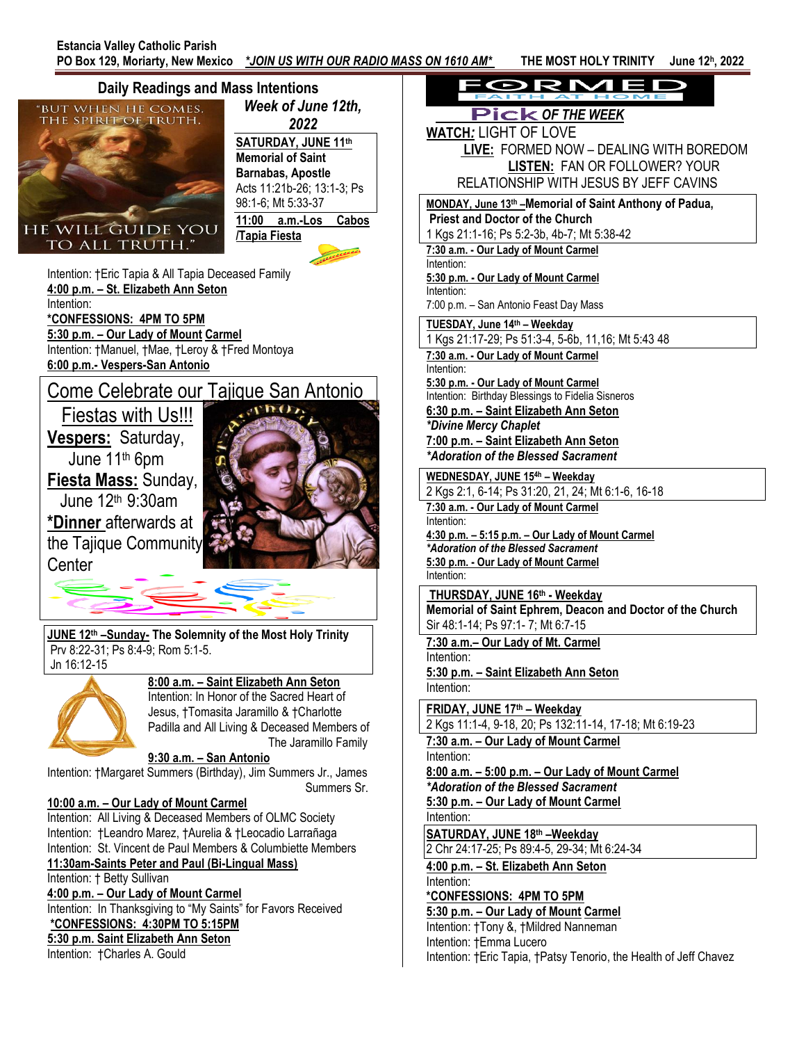**, 2022**



ORMEL  *OF THE WEEK* **WATCH***:* LIGHT OF LOVE  **LIVE:** FORMED NOW – DEALING WITH BOREDOM **LISTEN:** FAN OR FOLLOWER? YOUR RELATIONSHIP WITH JESUS BY JEFF CAVINS **MONDAY, June 13th –Memorial of Saint Anthony of Padua, Priest and Doctor of the Church** 1 Kgs 21:1-16; Ps 5:2-3b, 4b-7; Mt 5:38-42 **7:30 a.m. - Our Lady of Mount Carmel 5:30 p.m. - Our Lady of Mount Carmel** 7:00 p.m. – San Antonio Feast Day Mass **TUESDAY, June 14th – Weekday** 1 Kgs 21:17-29; Ps 51:3-4, 5-6b, 11,16; Mt 5:43 48 **7:30 a.m. - Our Lady of Mount Carmel 5:30 p.m. - Our Lady of Mount Carmel** Intention: Birthday Blessings to Fidelia Sisneros **6:30 p.m. – Saint Elizabeth Ann Seton** *\*Divine Mercy Chaplet* **7:00 p.m. – Saint Elizabeth Ann Seton**  *\*Adoration of the Blessed Sacrament* **WEDNESDAY, JUNE 154h – Weekday** 2 Kgs 2:1, 6-14; Ps 31:20, 21, 24; Mt 6:1-6, 16-18 **7:30 a.m. - Our Lady of Mount Carmel 4:30 p.m. – 5:15 p.m. – Our Lady of Mount Carmel** *\*Adoration of the Blessed Sacrament* **5:30 p.m. - Our Lady of Mount Carmel THURSDAY, JUNE 16th - Weekday Memorial of Saint Ephrem, Deacon and Doctor of the Church** Sir 48:1-14; Ps 97:1- 7; Mt 6:7-15 **7:30 a.m.– Our Lady of Mt. Carmel 5:30 p.m. – Saint Elizabeth Ann Seton FRIDAY, JUNE 17 th – Weekday** 2 Kgs 11:1-4, 9-18, 20; Ps 132:11-14, 17-18; Mt 6:19-23 **7:30 a.m. – Our Lady of Mount Carmel 8:00 a.m. – 5:00 p.m. – Our Lady of Mount Carmel** *\*Adoration of the Blessed Sacrament* **5:30 p.m. – Our Lady of Mount Carmel SATURDAY, JUNE 18 th –Weekday**  2 Chr 24:17-25; Ps 89:4-5, 29-34; Mt 6:24-34 **4:00 p.m. – St. Elizabeth Ann Seton \*CONFESSIONS: 4PM TO 5PM 5:30 p.m. – Our Lady of Mount Carmel**  Intention: †Tony &, †Mildred Nanneman Intention: †Emma Lucero Intention: †Eric Tapia, †Patsy Tenorio, the Health of Jeff Chavez